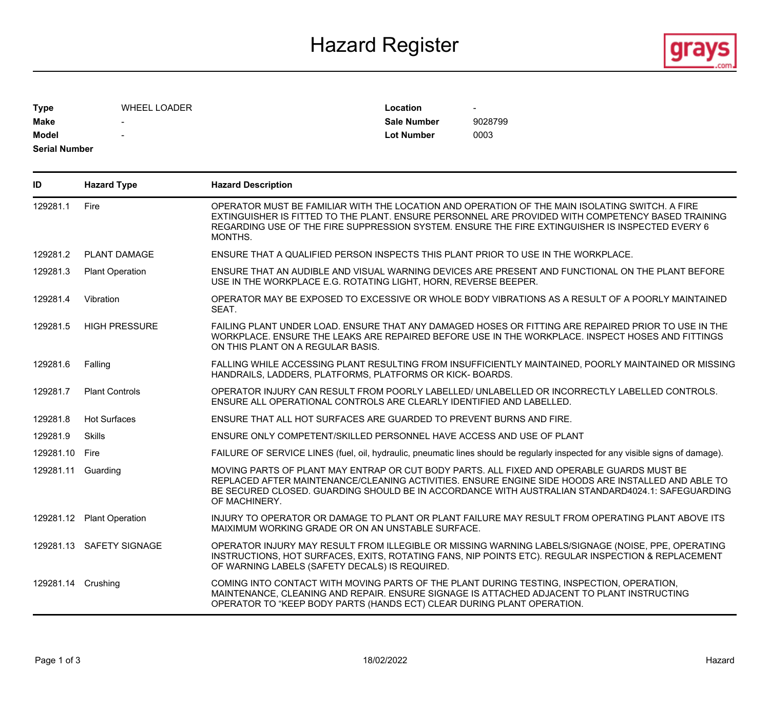## Hazard Register **Exercise Service Service Service Service Service Service Service Service Service Service Service Service Service Service Service Service Service Service Service Service Service Service Service Service Serv**



| <b>Type</b>          | <b>WHEEL LOADER</b>      | Location           | -       |
|----------------------|--------------------------|--------------------|---------|
| <b>Make</b>          | $\overline{\phantom{a}}$ | <b>Sale Number</b> | 9028799 |
| <b>Model</b>         | $\overline{\phantom{a}}$ | Lot Number         | 0003    |
| <b>Serial Number</b> |                          |                    |         |

| ID             | <b>Hazard Type</b>        | <b>Hazard Description</b>                                                                                                                                                                                                                                                                                            |
|----------------|---------------------------|----------------------------------------------------------------------------------------------------------------------------------------------------------------------------------------------------------------------------------------------------------------------------------------------------------------------|
| 129281.1       | Fire                      | OPERATOR MUST BE FAMILIAR WITH THE LOCATION AND OPERATION OF THE MAIN ISOLATING SWITCH. A FIRE<br>EXTINGUISHER IS FITTED TO THE PLANT. ENSURE PERSONNEL ARE PROVIDED WITH COMPETENCY BASED TRAINING<br>REGARDING USE OF THE FIRE SUPPRESSION SYSTEM. ENSURE THE FIRE EXTINGUISHER IS INSPECTED EVERY 6<br>MONTHS.    |
| 129281.2       | <b>PLANT DAMAGE</b>       | ENSURE THAT A QUALIFIED PERSON INSPECTS THIS PLANT PRIOR TO USE IN THE WORKPLACE.                                                                                                                                                                                                                                    |
| 129281.3       | <b>Plant Operation</b>    | ENSURE THAT AN AUDIBLE AND VISUAL WARNING DEVICES ARE PRESENT AND FUNCTIONAL ON THE PLANT BEFORE<br>USE IN THE WORKPLACE E.G. ROTATING LIGHT, HORN, REVERSE BEEPER.                                                                                                                                                  |
| 129281.4       | Vibration                 | OPERATOR MAY BE EXPOSED TO EXCESSIVE OR WHOLE BODY VIBRATIONS AS A RESULT OF A POORLY MAINTAINED<br>SEAT.                                                                                                                                                                                                            |
| 129281.5       | <b>HIGH PRESSURE</b>      | FAILING PLANT UNDER LOAD. ENSURE THAT ANY DAMAGED HOSES OR FITTING ARE REPAIRED PRIOR TO USE IN THE<br>WORKPLACE. ENSURE THE LEAKS ARE REPAIRED BEFORE USE IN THE WORKPLACE. INSPECT HOSES AND FITTINGS<br>ON THIS PLANT ON A REGULAR BASIS.                                                                         |
| 129281.6       | Falling                   | FALLING WHILE ACCESSING PLANT RESULTING FROM INSUFFICIENTLY MAINTAINED, POORLY MAINTAINED OR MISSING<br>HANDRAILS, LADDERS, PLATFORMS, PLATFORMS OR KICK-BOARDS.                                                                                                                                                     |
| 129281.7       | <b>Plant Controls</b>     | OPERATOR INJURY CAN RESULT FROM POORLY LABELLED/ UNLABELLED OR INCORRECTLY LABELLED CONTROLS.<br>ENSURE ALL OPERATIONAL CONTROLS ARE CLEARLY IDENTIFIED AND LABELLED.                                                                                                                                                |
| 129281.8       | <b>Hot Surfaces</b>       | ENSURE THAT ALL HOT SURFACES ARE GUARDED TO PREVENT BURNS AND FIRE.                                                                                                                                                                                                                                                  |
| 129281.9       | Skills                    | ENSURE ONLY COMPETENT/SKILLED PERSONNEL HAVE ACCESS AND USE OF PLANT                                                                                                                                                                                                                                                 |
| 129281.10 Fire |                           | FAILURE OF SERVICE LINES (fuel, oil, hydraulic, pneumatic lines should be regularly inspected for any visible signs of damage).                                                                                                                                                                                      |
|                | 129281.11 Guarding        | MOVING PARTS OF PLANT MAY ENTRAP OR CUT BODY PARTS. ALL FIXED AND OPERABLE GUARDS MUST BE<br>REPLACED AFTER MAINTENANCE/CLEANING ACTIVITIES. ENSURE ENGINE SIDE HOODS ARE INSTALLED AND ABLE TO<br>BE SECURED CLOSED. GUARDING SHOULD BE IN ACCORDANCE WITH AUSTRALIAN STANDARD4024.1: SAFEGUARDING<br>OF MACHINERY. |
|                | 129281.12 Plant Operation | INJURY TO OPERATOR OR DAMAGE TO PLANT OR PLANT FAILURE MAY RESULT FROM OPERATING PLANT ABOVE ITS<br>MAIXIMUM WORKING GRADE OR ON AN UNSTABLE SURFACE.                                                                                                                                                                |
|                | 129281.13 SAFETY SIGNAGE  | OPERATOR INJURY MAY RESULT FROM ILLEGIBLE OR MISSING WARNING LABELS/SIGNAGE (NOISE, PPE, OPERATING<br>INSTRUCTIONS, HOT SURFACES, EXITS, ROTATING FANS, NIP POINTS ETC). REGULAR INSPECTION & REPLACEMENT<br>OF WARNING LABELS (SAFETY DECALS) IS REQUIRED.                                                          |
|                | 129281.14 Crushing        | COMING INTO CONTACT WITH MOVING PARTS OF THE PLANT DURING TESTING, INSPECTION, OPERATION,<br>MAINTENANCE, CLEANING AND REPAIR. ENSURE SIGNAGE IS ATTACHED ADJACENT TO PLANT INSTRUCTING<br>OPERATOR TO "KEEP BODY PARTS (HANDS ECT) CLEAR DURING PLANT OPERATION.                                                    |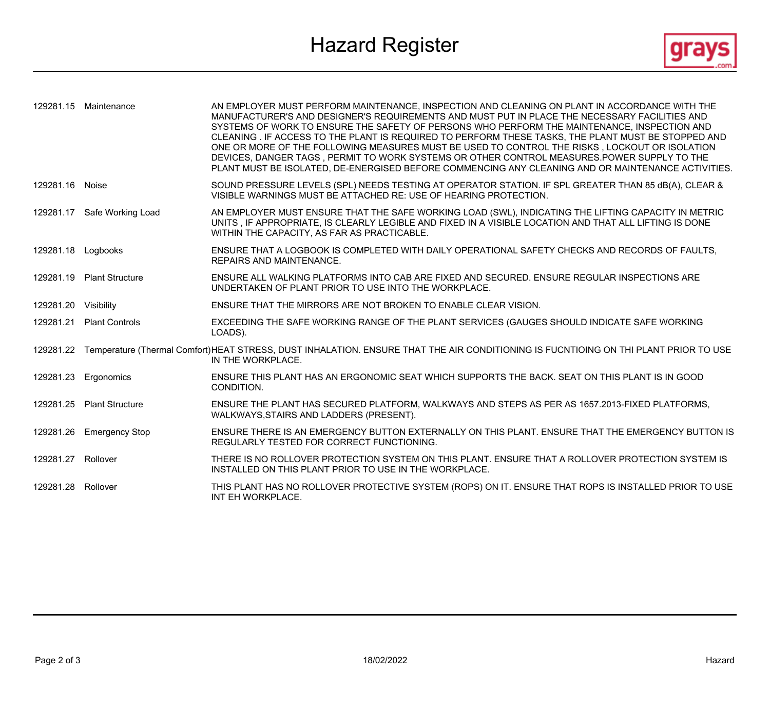Hazard Register **Exercise Service Service Service Service Service Service Service Service Service Service Service Service Service Service Service Service Service Service Service Service Service Service Service Service Serv** 



|                      | 129281.15 Maintenance       | AN EMPLOYER MUST PERFORM MAINTENANCE, INSPECTION AND CLEANING ON PLANT IN ACCORDANCE WITH THE<br>MANUFACTURER'S AND DESIGNER'S REQUIREMENTS AND MUST PUT IN PLACE THE NECESSARY FACILITIES AND<br>SYSTEMS OF WORK TO ENSURE THE SAFETY OF PERSONS WHO PERFORM THE MAINTENANCE, INSPECTION AND<br>CLEANING . IF ACCESS TO THE PLANT IS REQUIRED TO PERFORM THESE TASKS, THE PLANT MUST BE STOPPED AND<br>ONE OR MORE OF THE FOLLOWING MEASURES MUST BE USED TO CONTROL THE RISKS, LOCKOUT OR ISOLATION<br>DEVICES, DANGER TAGS, PERMIT TO WORK SYSTEMS OR OTHER CONTROL MEASURES. POWER SUPPLY TO THE<br>PLANT MUST BE ISOLATED, DE-ENERGISED BEFORE COMMENCING ANY CLEANING AND OR MAINTENANCE ACTIVITIES. |
|----------------------|-----------------------------|------------------------------------------------------------------------------------------------------------------------------------------------------------------------------------------------------------------------------------------------------------------------------------------------------------------------------------------------------------------------------------------------------------------------------------------------------------------------------------------------------------------------------------------------------------------------------------------------------------------------------------------------------------------------------------------------------------|
| 129281.16 Noise      |                             | SOUND PRESSURE LEVELS (SPL) NEEDS TESTING AT OPERATOR STATION. IF SPL GREATER THAN 85 dB(A), CLEAR &<br>VISIBLE WARNINGS MUST BE ATTACHED RE: USE OF HEARING PROTECTION.                                                                                                                                                                                                                                                                                                                                                                                                                                                                                                                                   |
|                      | 129281.17 Safe Working Load | AN EMPLOYER MUST ENSURE THAT THE SAFE WORKING LOAD (SWL), INDICATING THE LIFTING CAPACITY IN METRIC<br>UNITS, IF APPROPRIATE, IS CLEARLY LEGIBLE AND FIXED IN A VISIBLE LOCATION AND THAT ALL LIFTING IS DONE<br>WITHIN THE CAPACITY, AS FAR AS PRACTICABLE.                                                                                                                                                                                                                                                                                                                                                                                                                                               |
| 129281.18 Logbooks   |                             | ENSURE THAT A LOGBOOK IS COMPLETED WITH DAILY OPERATIONAL SAFETY CHECKS AND RECORDS OF FAULTS.<br><b>REPAIRS AND MAINTENANCE.</b>                                                                                                                                                                                                                                                                                                                                                                                                                                                                                                                                                                          |
|                      | 129281.19 Plant Structure   | ENSURE ALL WALKING PLATFORMS INTO CAB ARE FIXED AND SECURED. ENSURE REGULAR INSPECTIONS ARE<br>UNDERTAKEN OF PLANT PRIOR TO USE INTO THE WORKPLACE.                                                                                                                                                                                                                                                                                                                                                                                                                                                                                                                                                        |
| 129281.20 Visibility |                             | ENSURE THAT THE MIRRORS ARE NOT BROKEN TO ENABLE CLEAR VISION.                                                                                                                                                                                                                                                                                                                                                                                                                                                                                                                                                                                                                                             |
|                      | 129281.21 Plant Controls    | EXCEEDING THE SAFE WORKING RANGE OF THE PLANT SERVICES (GAUGES SHOULD INDICATE SAFE WORKING<br>LOADS).                                                                                                                                                                                                                                                                                                                                                                                                                                                                                                                                                                                                     |
|                      |                             | 129281.22 Temperature (Thermal Comfort)HEAT STRESS, DUST INHALATION. ENSURE THAT THE AIR CONDITIONING IS FUCNTIOING ON THI PLANT PRIOR TO USE<br>IN THE WORKPLACE.                                                                                                                                                                                                                                                                                                                                                                                                                                                                                                                                         |
|                      | 129281.23 Ergonomics        | ENSURE THIS PLANT HAS AN ERGONOMIC SEAT WHICH SUPPORTS THE BACK. SEAT ON THIS PLANT IS IN GOOD<br>CONDITION.                                                                                                                                                                                                                                                                                                                                                                                                                                                                                                                                                                                               |
|                      | 129281.25 Plant Structure   | ENSURE THE PLANT HAS SECURED PLATFORM, WALKWAYS AND STEPS AS PER AS 1657.2013-FIXED PLATFORMS,<br>WALKWAYS, STAIRS AND LADDERS (PRESENT).                                                                                                                                                                                                                                                                                                                                                                                                                                                                                                                                                                  |
|                      | 129281.26 Emergency Stop    | ENSURE THERE IS AN EMERGENCY BUTTON EXTERNALLY ON THIS PLANT. ENSURE THAT THE EMERGENCY BUTTON IS<br>REGULARLY TESTED FOR CORRECT FUNCTIONING.                                                                                                                                                                                                                                                                                                                                                                                                                                                                                                                                                             |
| 129281.27 Rollover   |                             | THERE IS NO ROLLOVER PROTECTION SYSTEM ON THIS PLANT. ENSURE THAT A ROLLOVER PROTECTION SYSTEM IS<br>INSTALLED ON THIS PLANT PRIOR TO USE IN THE WORKPLACE.                                                                                                                                                                                                                                                                                                                                                                                                                                                                                                                                                |
| 129281.28 Rollover   |                             | THIS PLANT HAS NO ROLLOVER PROTECTIVE SYSTEM (ROPS) ON IT. ENSURE THAT ROPS IS INSTALLED PRIOR TO USE<br>INT EH WORKPLACE.                                                                                                                                                                                                                                                                                                                                                                                                                                                                                                                                                                                 |
|                      |                             |                                                                                                                                                                                                                                                                                                                                                                                                                                                                                                                                                                                                                                                                                                            |